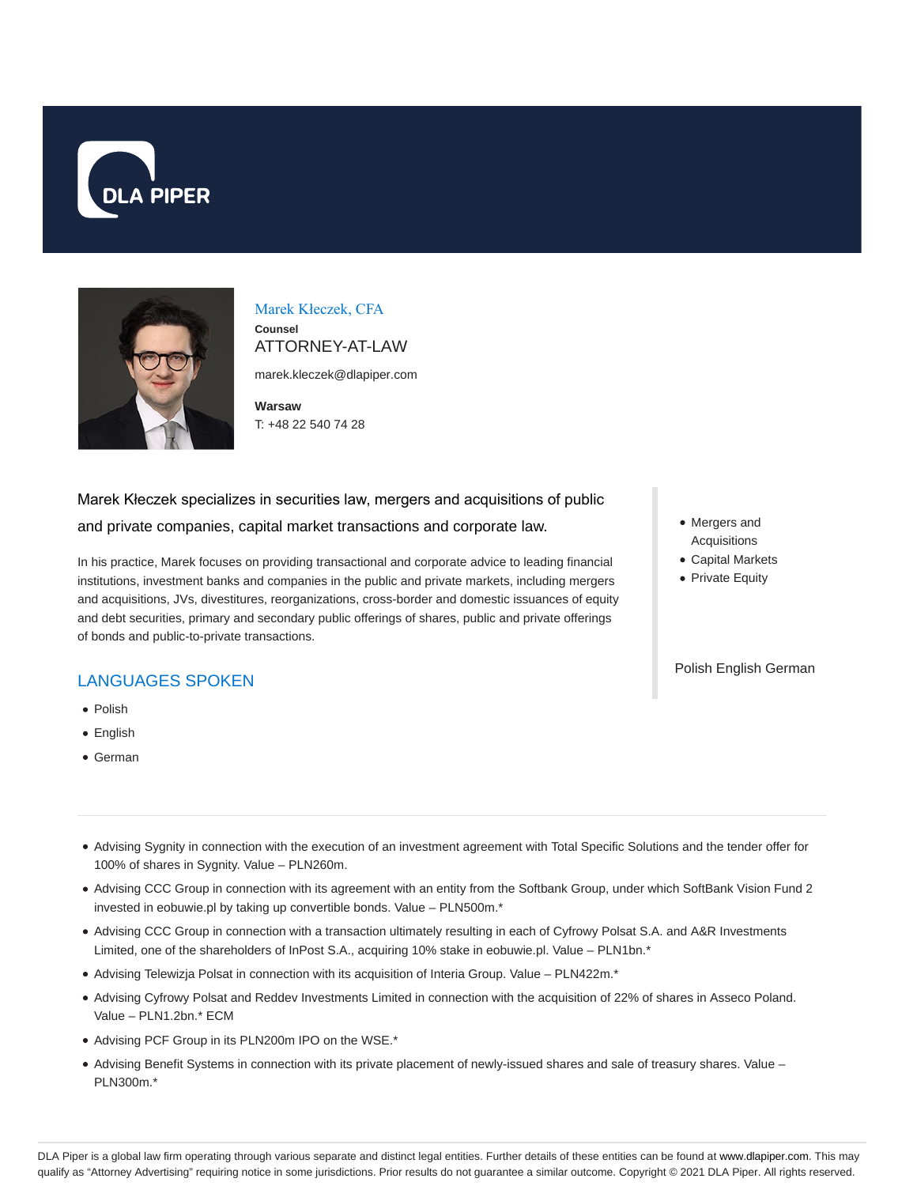



# Marek Kłeczek, CFA

**Counsel** ATTORNEY-AT-LAW

marek.kleczek@dlapiper.com

**Warsaw** T: +48 22 540 74 28

# Marek Kłeczek specializes in securities law, mergers and acquisitions of public and private companies, capital market transactions and corporate law.

In his practice, Marek focuses on providing transactional and corporate advice to leading financial institutions, investment banks and companies in the public and private markets, including mergers and acquisitions, JVs, divestitures, reorganizations, cross-border and domestic issuances of equity and debt securities, primary and secondary public offerings of shares, public and private offerings of bonds and public-to-private transactions.

# LANGUAGES SPOKEN

- Polish
- English
- German
- Mergers and Acquisitions
- Capital Markets
- Private Equity

#### Polish English German

- Advising Sygnity in connection with the execution of an investment agreement with Total Specific Solutions and the tender offer for 100% of shares in Sygnity. Value – PLN260m.
- Advising CCC Group in connection with its agreement with an entity from the Softbank Group, under which SoftBank Vision Fund 2 invested in eobuwie.pl by taking up convertible bonds. Value – PLN500m.\*
- Advising CCC Group in connection with a transaction ultimately resulting in each of Cyfrowy Polsat S.A. and A&R Investments Limited, one of the shareholders of InPost S.A., acquiring 10% stake in eobuwie.pl. Value – PLN1bn.\*
- Advising Telewizja Polsat in connection with its acquisition of Interia Group. Value PLN422m.\*
- Advising Cyfrowy Polsat and Reddev Investments Limited in connection with the acquisition of 22% of shares in Asseco Poland. Value – PLN1.2bn.\* ECM
- Advising PCF Group in its PLN200m IPO on the WSE.\*
- Advising Benefit Systems in connection with its private placement of newly-issued shares and sale of treasury shares. Value PLN300m.\*